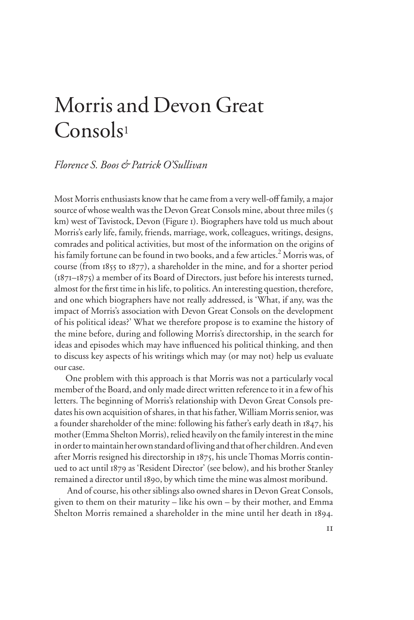# Morris and Devon Great Consols<sup>1</sup>

## *Florence S. Boos & Patrick O'Sullivan*

Most Morris enthusiasts know that he came from a very well-off family, a major source of whose wealth was the Devon Great Consols mine, about three miles (5 km) west of Tavistock, Devon (Figure 1). Biographers have told us much about Morris's early life, family, friends, marriage, work, colleagues, writings, designs, comrades and political activities, but most of the information on the origins of his family fortune can be found in two books, and a few articles.2 Morris was, of course (from 1855 to 1877), a shareholder in the mine, and for a shorter period (1871–1875) a member of its Board of Directors, just before his interests turned, almost for the first time in his life, to politics. An interesting question, therefore, and one which biographers have not really addressed, is 'What, if any, was the impact of Morris's association with Devon Great Consols on the development of his political ideas?' What we therefore propose is to examine the history of the mine before, during and following Morris's directorship, in the search for ideas and episodes which may have influenced his political thinking, and then to discuss key aspects of his writings which may (or may not) help us evaluate our case.

One problem with this approach is that Morris was not a particularly vocal member of the Board, and only made direct written reference to it in a few of his letters. The beginning of Morris's relationship with Devon Great Consols predates his own acquisition of shares, in that his father, William Morris senior, was a founder shareholder of the mine: following his father's early death in 1847, his mother (Emma Shelton Morris), relied heavily on the family interest in the mine in order to maintain her own standard of living and that of her children. And even after Morris resigned his directorship in 1875, his uncle Thomas Morris continued to act until 1879 as 'Resident Director' (see below), and his brother Stanley remained a director until 1890, by which time the mine was almost moribund.

 And of course, his other siblings also owned shares in Devon Great Consols, given to them on their maturity – like his own – by their mother, and Emma Shelton Morris remained a shareholder in the mine until her death in 1894.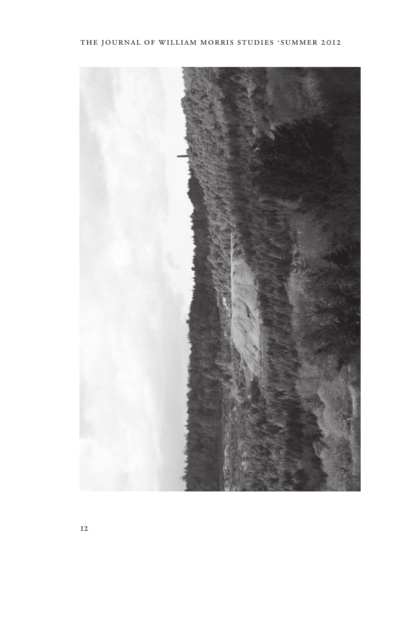## THE JOURNAL OF WILLIAM MORRIS STUDIES .SUMMER 2012

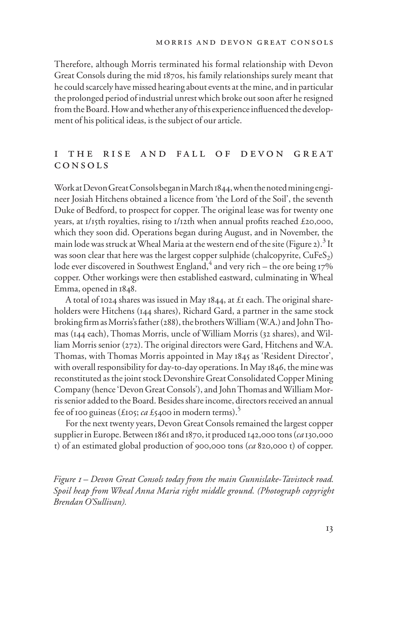Therefore, although Morris terminated his formal relationship with Devon Great Consols during the mid 1870s, his family relationships surely meant that he could scarcely have missed hearing about events at the mine, and in particular the prolonged period of industrial unrest which broke out soon after he resigned from the Board. How and whether any of this experience influenced the development of his political ideas, is the subject of our article.

### I THE RISE AND FALL OF DEVON GREAT co n s o l s

Work at Devon Great Consols began in March 1844, when the noted mining engineer Josiah Hitchens obtained a licence from 'the Lord of the Soil', the seventh Duke of Bedford, to prospect for copper. The original lease was for twenty one years, at  $1/15$ th royalties, rising to  $1/12$ th when annual profits reached £20,000, which they soon did. Operations began during August, and in November, the main lode was struck at Wheal Maria at the western end of the site (Figure 2).<sup>3</sup> It was soon clear that here was the largest copper sulphide (chalcopyrite,  $CuFeS<sub>2</sub>$ ) lode ever discovered in Southwest England, $^4$  and very rich – the ore being 17% copper. Other workings were then established eastward, culminating in Wheal Emma, opened in 1848.

A total of 1024 shares was issued in May 1844, at £1 each. The original shareholders were Hitchens (144 shares), Richard Gard, a partner in the same stock broking firm as Morris's father (288), the brothers William (W.A.) and John Thomas (144 each), Thomas Morris, uncle of William Morris (32 shares), and William Morris senior (272). The original directors were Gard, Hitchens and W.A. Thomas, with Thomas Morris appointed in May 1845 as 'Resident Director', with overall responsibility for day-to-day operations. In May 1846, the mine was reconstituted as the joint stock Devonshire Great Consolidated Copper Mining Company (hence 'Devon Great Consols'), and John Thomas and William Morris senior added to the Board. Besides share income, directors received an annual fee of 100 guineas (£105; *ca* £5400 in modern terms).<sup>5</sup>

For the next twenty years, Devon Great Consols remained the largest copper supplier in Europe. Between 1861 and 1870, it produced 142,000 tons (*ca* 130,000 t) of an estimated global production of 900,000 tons (*ca* 820,000 t) of copper.

*Figure 1 – Devon Great Consols today from the main Gunnislake-Tavistock road. Spoil heap from Wheal Anna Maria right middle ground. (Photograph copyright Brendan O'Sullivan).*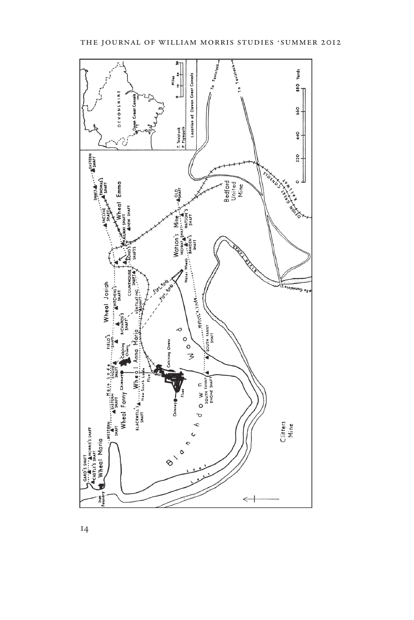

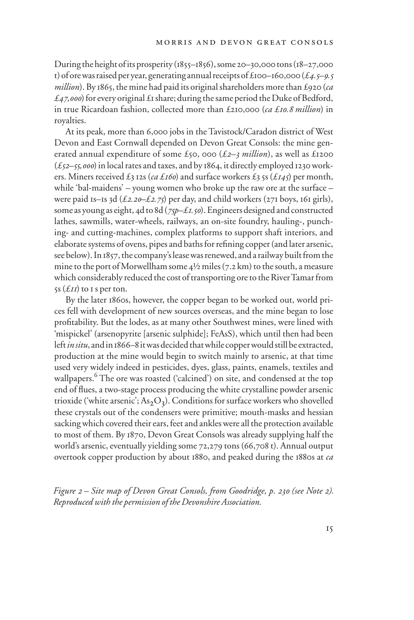During the height of its prosperity (1855–1856), some 20–30,000 tons (18–27,000 t) of ore was raised per year, generating annual receipts of £100–160,000 (*£4.5–9.5 million*). By 1865, the mine had paid its original shareholders more than £920 (*ca £47,000*) for every original £1 share; during the same period the Duke of Bedford, in true Ricardoan fashion, collected more than £210,000 (*ca £10.8 million*) in royalties.

At its peak, more than 6,000 jobs in the Tavistock/Caradon district of West Devon and East Cornwall depended on Devon Great Consols: the mine generated annual expenditure of some £50, 000 (*£2–3 million*), as well as £1200 (*£52–55,000*) in local rates and taxes, and by 1864, it directly employed 1230 workers. Miners received  $\pounds_3$  12s (*ca*  $\pounds_1$ *foo*) and surface workers  $\pounds_3$  5s ( $\pounds_1$ *45*) per month, while 'bal-maidens' – young women who broke up the raw ore at the surface – were paid 1s–1s 3d (*£2.20–£2.75*) per day, and child workers (271 boys, 161 girls), some as young as eight, 4d to 8d (*75p–£1.50*). Engineers designed and constructed lathes, sawmills, water-wheels, railways, an on-site foundry, hauling-, punching- and cutting-machines, complex platforms to support shaft interiors, and elaborate systems of ovens, pipes and baths for refining copper (and later arsenic, see below). In 1857, the company's lease was renewed, and a railway built from the mine to the port of Morwellham some  $4\frac{1}{2}$  miles (7.2 km) to the south, a measure which considerably reduced the cost of transporting ore to the River Tamar from 5s  $(f_{II})$  to 1 s per ton.

By the later 1860s, however, the copper began to be worked out, world prices fell with development of new sources overseas, and the mine began to lose profitability. But the lodes, as at many other Southwest mines, were lined with 'mispickel' (arsenopyrite [arsenic sulphide]; FeAsS), which until then had been left *in situ*, and in 1866–8 it was decided that while copper would still be extracted, production at the mine would begin to switch mainly to arsenic, at that time used very widely indeed in pesticides, dyes, glass, paints, enamels, textiles and wallpapers.<sup>6</sup> The ore was roasted ('calcined') on site, and condensed at the top end of flues, a two-stage process producing the white crystalline powder arsenic trioxide ('white arsenic';  $As<sub>2</sub>O<sub>3</sub>$ ). Conditions for surface workers who shovelled these crystals out of the condensers were primitive; mouth-masks and hessian sacking which covered their ears, feet and ankles were all the protection available to most of them. By 1870, Devon Great Consols was already supplying half the world's arsenic, eventually yielding some 72,279 tons (66,708 t). Annual output overtook copper production by about 1880, and peaked during the 1880s at *ca*

*Figure 2 – Site map of Devon Great Consols, from Goodridge, p. 230 (see Note 2). Reproduced with the permission of the Devonshire Association.*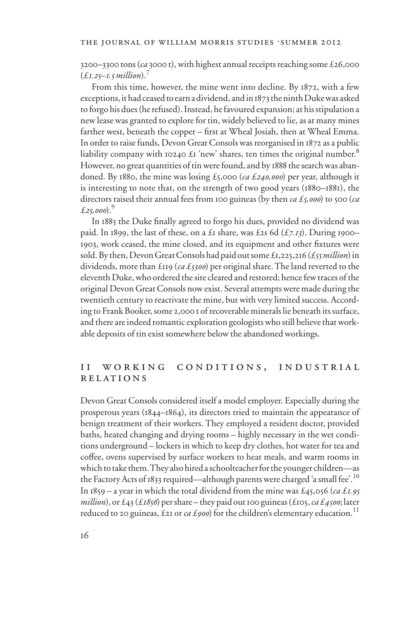#### THE JOURNAL OF WILLIAM MORRIS STUDIES .SUMMER 2012

3200–3300 tons (*ca* 3000 t), with highest annual receipts reaching some £26,000  $(E_{I,25}-I, \varsigma \text{ million})$ .

From this time, however, the mine went into decline. By 1872, with a few exceptions, it had ceased to earn a dividend, and in 1873 the ninth Duke was asked to forgo his dues (he refused). Instead, he favoured expansion; at his stipulation a new lease was granted to explore for tin, widely believed to lie, as at many mines farther west, beneath the copper – first at Wheal Josiah, then at Wheal Emma. In order to raise funds, Devon Great Consols was reorganised in 1872 as a public liability company with 10240 £1 'new' shares, ten times the original number.<sup>8</sup> However, no great quantities of tin were found, and by 1888 the search was abandoned. By 1880, the mine was losing £5,000 (*ca £240,000*) per year, although it is interesting to note that, on the strength of two good years (1880–1881), the directors raised their annual fees from 100 guineas (by then *ca £5,000*) to 500 (*ca*   $£25,000.9$ 

In 1885 the Duke finally agreed to forgo his dues, provided no dividend was paid. In 1899, the last of these, on a £1 share, was £2s 6d (£7.13). During 1900– 1903, work ceased, the mine closed, and its equipment and other fixtures were sold. By then, Devon Great Consols had paid out some £1,225,216 (*£55 million*) in dividends, more than £119 (*ca £5300*) per original share. The land reverted to the eleventh Duke, who ordered the site cleared and restored; hence few traces of the original Devon Great Consols now exist. Several attempts were made during the twentieth century to reactivate the mine, but with very limited success. According to Frank Booker, some 2,000 t of recoverable minerals lie beneath its surface, and there are indeed romantic exploration geologists who still believe that workable deposits of tin exist somewhere below the abandoned workings.

#### II WORKING CONDITIONS, INDUSTRIAL r e l at i o n s

Devon Great Consols considered itself a model employer. Especially during the prosperous years (1844–1864), its directors tried to maintain the appearance of benign treatment of their workers. They employed a resident doctor, provided baths, heated changing and drying rooms – highly necessary in the wet conditions underground – lockers in which to keep dry clothes, hot water for tea and coffee, ovens supervised by surface workers to heat meals, and warm rooms in which to take them. They also hired a schoolteacher for the younger children—as the Factory Acts of 1833 required—although parents were charged 'a small fee'.<sup>10</sup> In 1859 – a year in which the total dividend from the mine was £45,056 (*ca £1.95*) *million*), or £43 (*£1856*) per share – they paid out 100 guineas (£105, *ca £4500*; later reduced to 20 guineas, £21 or *ca* £900) for the children's elementary education.<sup>11</sup>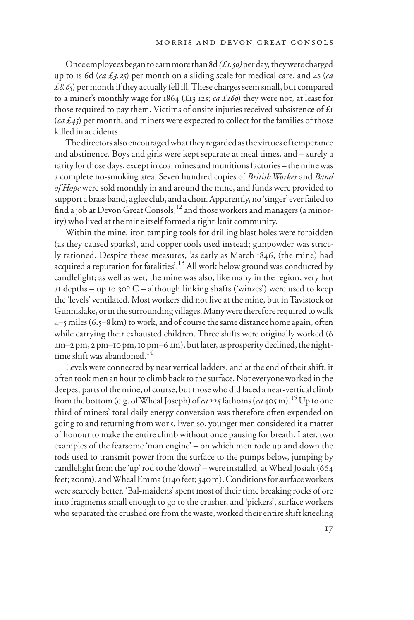Once employees began to earn more than 8d *(£1.50)* per day, they were charged up to 1s 6d (*ca £3.25*) per month on a sliding scale for medical care, and 4s (*ca £8.65*) per month if they actually fell ill. These charges seem small, but compared to a miner's monthly wage for 1864 (£13 12s; *ca £160*) they were not, at least for those required to pay them. Victims of onsite injuries received subsistence of £1 (*ca £45*) per month, and miners were expected to collect for the families of those killed in accidents.

The directors also encouraged what they regarded as the virtues of temperance and abstinence. Boys and girls were kept separate at meal times, and – surely a rarity for those days, except in coal mines and munitions factories – the mine was a complete no-smoking area. Seven hundred copies of *British Worker* and *Band of Hope* were sold monthly in and around the mine, and funds were provided to support a brass band, a glee club, and a choir. Apparently, no 'singer' ever failed to find a job at Devon Great Consols,  $^{12}$  and those workers and managers (a minority) who lived at the mine itself formed a tight-knit community.

Within the mine, iron tamping tools for drilling blast holes were forbidden (as they caused sparks), and copper tools used instead; gunpowder was strictly rationed. Despite these measures, 'as early as March 1846, (the mine) had acquired a reputation for fatalities'.<sup>13</sup> All work below ground was conducted by candlelight; as well as wet, the mine was also, like many in the region, very hot at depths – up to 30 $\degree$  C – although linking shafts ('winzes') were used to keep the 'levels' ventilated. Most workers did not live at the mine, but in Tavistock or Gunnislake, or in the surrounding villages. Many were therefore required to walk 4–5 miles (6.5–8 km) to work, and of course the same distance home again, often while carrying their exhausted children. Three shifts were originally worked (6 am–2 pm, 2 pm–10 pm, 10 pm–6 am), but later, as prosperity declined, the nighttime shift was abandoned.<sup>14</sup>

Levels were connected by near vertical ladders, and at the end of their shift, it often took men an hour to climb back to the surface. Not everyone worked in the deepest parts of the mine, of course, but those who did faced a near-vertical climb from the bottom (e.g. of Wheal Joseph) of *ca* 225 fathoms (*ca* 405 m).<sup>15</sup> Up to one third of miners' total daily energy conversion was therefore often expended on going to and returning from work. Even so, younger men considered it a matter of honour to make the entire climb without once pausing for breath. Later, two examples of the fearsome 'man engine' – on which men rode up and down the rods used to transmit power from the surface to the pumps below, jumping by candlelight from the 'up' rod to the 'down' – were installed, at Wheal Josiah (664 feet; 200m), and Wheal Emma (1140 feet; 340 m). Conditions for surface workers were scarcely better. 'Bal-maidens' spent most of their time breaking rocks of ore into fragments small enough to go to the crusher, and 'pickers', surface workers who separated the crushed ore from the waste, worked their entire shift kneeling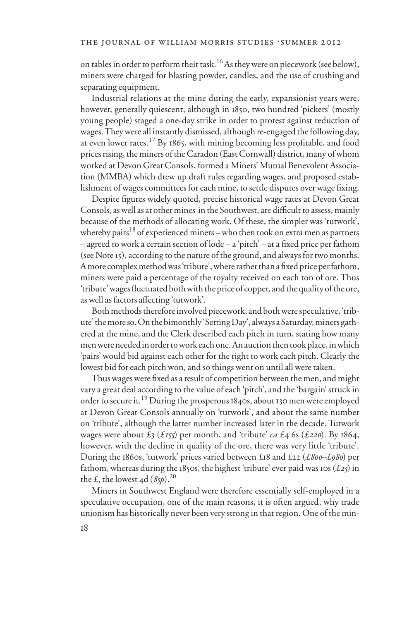on tables in order to perform their task.<sup>16</sup> As they were on piecework (see below), miners were charged for blasting powder, candles, and the use of crushing and separating equipment.

Industrial relations at the mine during the early, expansionist years were, however, generally quiescent, although in 1850, two hundred 'pickers' (mostly young people) staged a one-day strike in order to protest against reduction of wages. They were all instantly dismissed, although re-engaged the following day, at even lower rates.<sup>17</sup> By 1865, with mining becoming less profitable, and food prices rising, the miners of the Caradon (East Cornwall) district, many of whom worked at Devon Great Consols, formed a Miners' Mutual Benevolent Association (MMBA) which drew up draft rules regarding wages, and proposed establishment of wages committees for each mine, to settle disputes over wage fixing.

Despite figures widely quoted, precise historical wage rates at Devon Great Consols, as well as at other mines in the Southwest, are difficult to assess, mainly because of the methods of allocating work. Of these, the simpler was 'tutwork', whereby pairs<sup>18</sup> of experienced miners – who then took on extra men as partners  $-$  agreed to work a certain section of  $\text{lode} - \text{a 'pitch' - at a fixed price per fathom}$ (see Note 15), according to the nature of the ground, and always for two months. A more complex method was 'tribute', where rather than a fixed price per fathom, miners were paid a percentage of the royalty received on each ton of ore. Thus 'tribute' wages fluctuated both with the price of copper, and the quality of the ore, as well as factors affecting 'tutwork'.

Both methods therefore involved piecework, and both were speculative, 'tribute' the more so. On the bimonthly 'Setting Day', always a Saturday, miners gathered at the mine, and the Clerk described each pitch in turn, stating how many men were needed in order to work each one. An auction then took place, in which 'pairs' would bid against each other for the right to work each pitch. Clearly the lowest bid for each pitch won, and so things went on until all were taken.

Thus wages were fixed as a result of competition between the men, and might vary a great deal according to the value of each 'pitch', and the 'bargain' struck in order to secure it.<sup>19</sup> During the prosperous 1840s, about 130 men were employed at Devon Great Consols annually on 'tutwork', and about the same number on 'tribute', although the latter number increased later in the decade. Tutwork wages were about £3 (*£155*) per month, and 'tribute' *ca* £4 6s (*£220*). By 1864, however, with the decline in quality of the ore, there was very little 'tribute'. During the 1860s, 'tutwork' prices varied between £18 and £22 (*£800–£980*) per fathom, whereas during the 1850s, the highest 'tribute' ever paid was 10s (*£25*) in the £, the lowest 4d  $(\delta \varsigma p)$ .<sup>20</sup>

Miners in Southwest England were therefore essentially self-employed in a speculative occupation, one of the main reasons, it is often argued, why trade unionism has historically never been very strong in that region. One of the min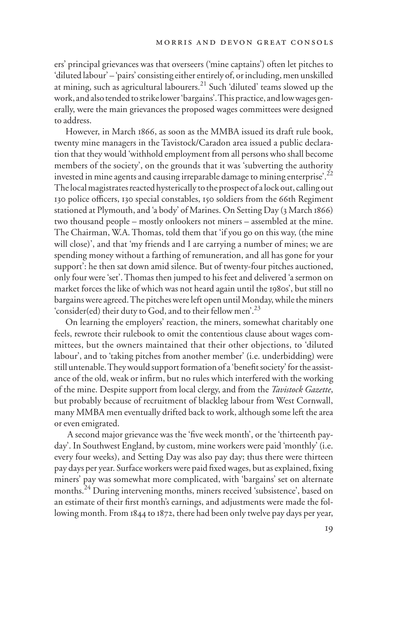ers' principal grievances was that overseers ('mine captains') often let pitches to 'diluted labour' – 'pairs' consisting either entirely of, or including, men unskilled at mining, such as agricultural labourers.<sup>21</sup> Such 'diluted' teams slowed up the work, and also tended to strike lower 'bargains'. This practice, and low wages generally, were the main grievances the proposed wages committees were designed to address.

However, in March 1866, as soon as the MMBA issued its draft rule book, twenty mine managers in the Tavistock/Caradon area issued a public declaration that they would 'withhold employment from all persons who shall become members of the society', on the grounds that it was 'subverting the authority invested in mine agents and causing irreparable damage to mining enterprise'.<sup>22</sup> The local magistrates reacted hysterically to the prospect of a lock out, calling out 130 police officers, 130 special constables, 150 soldiers from the 66th Regiment stationed at Plymouth, and 'a body' of Marines. On Setting Day (3 March 1866) two thousand people – mostly onlookers not miners – assembled at the mine. The Chairman, W.A. Thomas, told them that 'if you go on this way, (the mine will close)', and that 'my friends and I are carrying a number of mines; we are spending money without a farthing of remuneration, and all has gone for your support': he then sat down amid silence. But of twenty-four pitches auctioned, only four were 'set'. Thomas then jumped to his feet and delivered 'a sermon on market forces the like of which was not heard again until the 1980s', but still no bargains were agreed. The pitches were left open until Monday, while the miners 'consider(ed) their duty to God, and to their fellow men'.<sup>23</sup>

On learning the employers' reaction, the miners, somewhat charitably one feels, rewrote their rulebook to omit the contentious clause about wages committees, but the owners maintained that their other objections, to 'diluted labour', and to 'taking pitches from another member' (i.e. underbidding) were still untenable. They would support formation of a 'benefit society' for the assistance of the old, weak or infirm, but no rules which interfered with the working of the mine. Despite support from local clergy, and from the *Tavistock Gazette*, but probably because of recruitment of blackleg labour from West Cornwall, many MMBA men eventually drifted back to work, although some left the area or even emigrated.

A second major grievance was the 'five week month', or the 'thirteenth payday'. In Southwest England, by custom, mine workers were paid 'monthly' (i.e. every four weeks), and Setting Day was also pay day; thus there were thirteen pay days per year. Surface workers were paid fixed wages, but as explained, fixing miners' pay was somewhat more complicated, with 'bargains' set on alternate months.<sup>24</sup> During intervening months, miners received 'subsistence', based on an estimate of their first month's earnings, and adjustments were made the following month. From 1844 to 1872, there had been only twelve pay days per year,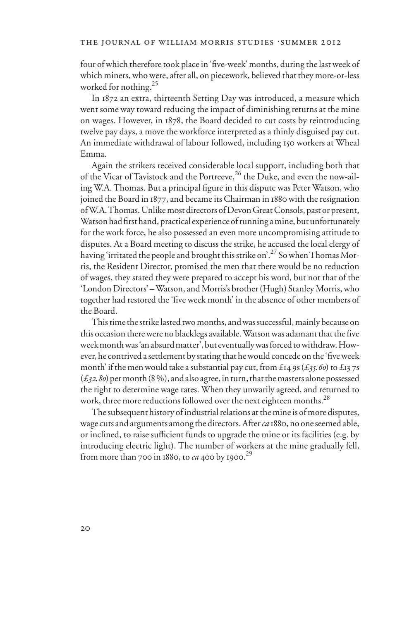four of which therefore took place in 'five-week' months, during the last week of which miners, who were, after all, on piecework, believed that they more-or-less worked for nothing.<sup>25</sup>

In 1872 an extra, thirteenth Setting Day was introduced, a measure which went some way toward reducing the impact of diminishing returns at the mine on wages. However, in 1878, the Board decided to cut costs by reintroducing twelve pay days, a move the workforce interpreted as a thinly disguised pay cut. An immediate withdrawal of labour followed, including 150 workers at Wheal Emma.

Again the strikers received considerable local support, including both that of the Vicar of Tavistock and the Portreeve,<sup>26</sup> the Duke, and even the now-ailing W.A. Thomas. But a principal figure in this dispute was Peter Watson, who joined the Board in 1877, and became its Chairman in 1880 with the resignation of W.A. Thomas. Unlike most directors of Devon Great Consols, past or present, Watson had first hand, practical experience of running a mine, but unfortunately for the work force, he also possessed an even more uncompromising attitude to disputes. At a Board meeting to discuss the strike, he accused the local clergy of having 'irritated the people and brought this strike on'.<sup>27</sup> So when Thomas Morris, the Resident Director, promised the men that there would be no reduction of wages, they stated they were prepared to accept his word, but not that of the 'London Directors' – Watson, and Morris's brother (Hugh) Stanley Morris, who together had restored the 'five week month' in the absence of other members of the Board.

This time the strike lasted two months, and was successful, mainly because on this occasion there were no blacklegs available. Watson was adamant that the five week month was 'an absurd matter', but eventually was forced to withdraw. However, he contrived a settlement by stating that he would concede on the 'five week month' if the men would take a substantial pay cut, from £14 9s (£35.60) to £13.7s (*£32.80*) per month (8 %), and also agree, in turn, that the masters alone possessed the right to determine wage rates. When they unwarily agreed, and returned to work, three more reductions followed over the next eighteen months.<sup>28</sup>

The subsequent history of industrial relations at the mine is of more disputes, wage cuts and arguments among the directors. After *ca* 1880, no one seemed able, or inclined, to raise sufficient funds to upgrade the mine or its facilities (e.g. by introducing electric light). The number of workers at the mine gradually fell, from more than 700 in 1880, to *ca* 400 by 1900. 29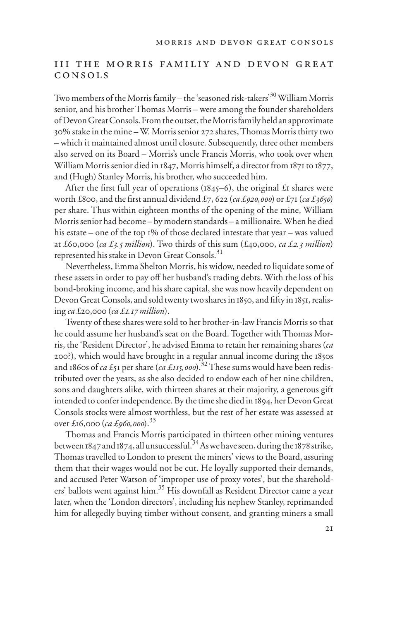#### III THE MORRIS FAMILIY AND DEVON GREAT co n s o l s

Two members of the Morris family – the 'seasoned risk-takers'30 William Morris senior, and his brother Thomas Morris – were among the founder shareholders of Devon Great Consols. From the outset, the Morris family held an approximate 30% stake in the mine – W. Morris senior 272 shares, Thomas Morris thirty two – which it maintained almost until closure. Subsequently, three other members also served on its Board – Morris's uncle Francis Morris, who took over when William Morris senior died in 1847, Morris himself, a director from 1871 to 1877, and (Hugh) Stanley Morris, his brother, who succeeded him.

After the first full year of operations (1845–6), the original  $\pounds$ I shares were worth £800, and the first annual dividend £7, 622 (*ca £920,000*) or £71 (*ca £3650*) per share. Thus within eighteen months of the opening of the mine, William Morris senior had become – by modern standards – a millionaire. When he died his estate – one of the top 1% of those declared intestate that year – was valued at £60,000 (*ca £3.5 million*). Two thirds of this sum (£40,000, *ca £2.3 million*) represented his stake in Devon Great Consols.<sup>31</sup>

Nevertheless, Emma Shelton Morris, his widow, needed to liquidate some of these assets in order to pay off her husband's trading debts. With the loss of his bond-broking income, and his share capital, she was now heavily dependent on Devon Great Consols, and sold twenty two shares in 1850, and fifty in 1851, realising *ca* £20,000 (*ca £1.17 million*).

Twenty of these shares were sold to her brother-in-law Francis Morris so that he could assume her husband's seat on the Board. Together with Thomas Morris, the 'Resident Director', he advised Emma to retain her remaining shares (*ca* 200?), which would have brought in a regular annual income during the 1850s and 1860s of *ca* £51 per share (*ca £115,000*).32 These sums would have been redistributed over the years, as she also decided to endow each of her nine children, sons and daughters alike, with thirteen shares at their majority, a generous gift intended to confer independence. By the time she died in 1894, her Devon Great Consols stocks were almost worthless, but the rest of her estate was assessed at over £16,000 (*ca £960,000*).<sup>33</sup>

Thomas and Francis Morris participated in thirteen other mining ventures between 1847 and 1874, all unsuccessful.<sup>34</sup> As we have seen, during the 1878 strike, Thomas travelled to London to present the miners' views to the Board, assuring them that their wages would not be cut. He loyally supported their demands, and accused Peter Watson of 'improper use of proxy votes', but the shareholders' ballots went against him.<sup>35</sup> His downfall as Resident Director came a year later, when the 'London directors', including his nephew Stanley, reprimanded him for allegedly buying timber without consent, and granting miners a small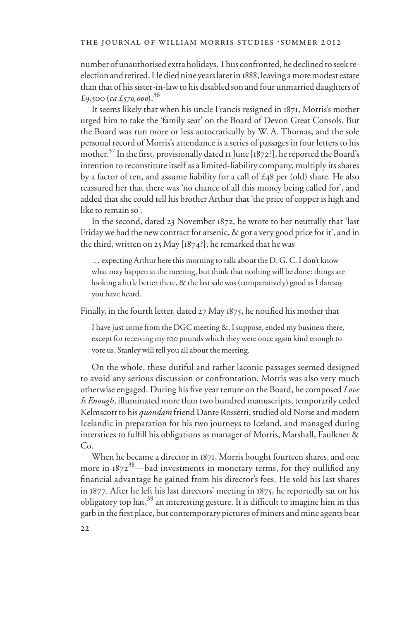number of unauthorised extra holidays. Thus confronted, he declined to seek reelection and retired. He died nine years later in 1888, leaving a more modest estate than that of his sister-in-law to his disabled son and four unmarried daughters of £9,500 (*ca £570,000*).36

It seems likely that when his uncle Francis resigned in 1871, Morris's mother urged him to take the 'family seat' on the Board of Devon Great Consols. But the Board was run more or less autocratically by W. A. Thomas, and the sole personal record of Morris's attendance is a series of passages in four letters to his mother.<sup>37</sup> In the first, provisionally dated 11 June [1872?], he reported the Board's intention to reconstitute itself as a limited-liability company, multiply its shares by a factor of ten, and assume liability for a call of £48 per (old) share. He also reassured her that there was 'no chance of all this money being called for', and added that she could tell his brother Arthur that 'the price of copper is high and like to remain so'.

In the second, dated 23 November 1872, he wrote to her neutrally that 'last Friday we had the new contract for arsenic, & got a very good price for it', and in the third, written on 25 May [1874?], he remarked that he was

… expecting Arthur here this morning to talk about the D. G. C. I don't know what may happen at the meeting, but think that nothing will be done: things are looking a little better there, & the last sale was (comparatively) good as I daresay you have heard.

Finally, in the fourth letter, dated  $27$  May 1875, he notified his mother that

I have just come from the DGC meeting &, I suppose, ended my business there, except for receiving my 100 pounds which they were once again kind enough to vote us. Stanley will tell you all about the meeting.

On the whole, these dutiful and rather laconic passages seemed designed to avoid any serious discussion or confrontation. Morris was also very much otherwise engaged. During his five year tenure on the Board, he composed *Love Is Enough*, illuminated more than two hundred manuscripts, temporarily ceded Kelmscott to his *quondam* friend Dante Rossetti, studied old Norse and modern Icelandic in preparation for his two journeys to Iceland, and managed during interstices to fulfill his obligations as manager of Morris, Marshall, Faulkner  $\&$ Co.

When he became a director in 1871, Morris bought fourteen shares, and one more in  $1872^{38}$ —bad investments in monetary terms, for they nullified any financial advantage he gained from his director's fees. He sold his last shares in 1877. After he left his last directors' meeting in 1875, he reportedly sat on his obligatory top hat,  $39$  an interesting gesture. It is difficult to imagine him in this garb in the first place, but contemporary pictures of miners and mine agents bear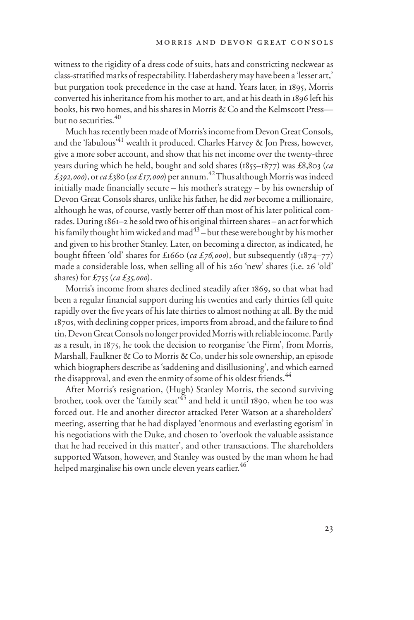witness to the rigidity of a dress code of suits, hats and constricting neckwear as class-stratified marks of respectability. Haberdashery may have been a 'lesser art,' but purgation took precedence in the case at hand. Years later, in 1895, Morris converted his inheritance from his mother to art, and at his death in 1896 left his books, his two homes, and his shares in Morris & Co and the Kelmscott Press but no securities.<sup>40</sup>

Much has recently been made of Morris's income from Devon Great Consols, and the 'fabulous'41 wealth it produced. Charles Harvey & Jon Press, however, give a more sober account, and show that his net income over the twenty-three years during which he held, bought and sold shares (1855–1877) was £8,803 (*ca*   $\dot{x}$ <sub>392</sub>,*000*), or *ca*  $\dot{x}$ <sub>3</sub>80 (*ca* £*17*,*000*) per annum.<sup>42</sup> Thus although Morris was indeed initially made financially secure – his mother's strategy – by his ownership of Devon Great Consols shares, unlike his father, he did *not* become a millionaire, although he was, of course, vastly better off than most of his later political comrades. During 1861–2 he sold two of his original thirteen shares – an act for which his family thought him wicked and mad<sup>43</sup> – but these were bought by his mother and given to his brother Stanley. Later, on becoming a director, as indicated, he bought fifteen 'old' shares for £1660 (*ca £76,000*), but subsequently (1874–77) made a considerable loss, when selling all of his 260 'new' shares (i.e. 26 'old' shares) for £755 (*ca £35,000*).

Morris's income from shares declined steadily after 1869, so that what had been a regular financial support during his twenties and early thirties fell quite rapidly over the five years of his late thirties to almost nothing at all. By the mid 1870s, with declining copper prices, imports from abroad, and the failure to find tin, Devon Great Consols no longer provided Morris with reliable income. Partly as a result, in 1875, he took the decision to reorganise 'the Firm', from Morris, Marshall, Faulkner & Co to Morris & Co, under his sole ownership, an episode which biographers describe as 'saddening and disillusioning', and which earned the disapproval, and even the enmity of some of his oldest friends.<sup>44</sup>

After Morris's resignation, (Hugh) Stanley Morris, the second surviving brother, took over the 'family seat'<sup> $45$ </sup> and held it until 1890, when he too was forced out. He and another director attacked Peter Watson at a shareholders' meeting, asserting that he had displayed 'enormous and everlasting egotism' in his negotiations with the Duke, and chosen to 'overlook the valuable assistance that he had received in this matter', and other transactions. The shareholders supported Watson, however, and Stanley was ousted by the man whom he had helped marginalise his own uncle eleven years earlier.<sup>46</sup>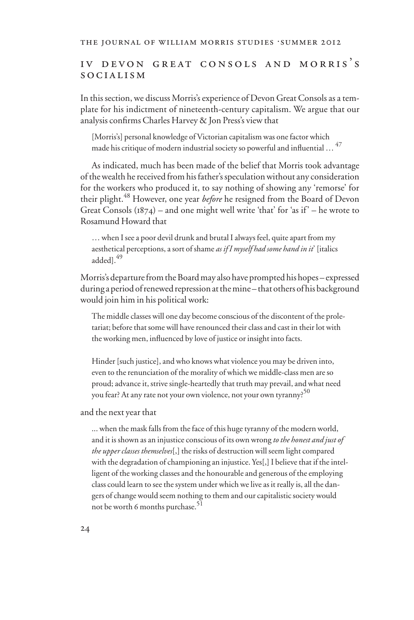## iv devon great consols and morris's s o c i a l i s m

In this section, we discuss Morris's experience of Devon Great Consols as a template for his indictment of nineteenth-century capitalism. We argue that our analysis confirms Charles Harvey & Jon Press's view that

[Morris's] personal knowledge of Victorian capitalism was one factor which made his critique of modern industrial society so powerful and influential  $\ldots^{47}$ 

As indicated, much has been made of the belief that Morris took advantage of the wealth he received from his father's speculation without any consideration for the workers who produced it, to say nothing of showing any 'remorse' for their plight.48 However, one year *before* he resigned from the Board of Devon Great Consols  $(1874)$  – and one might well write 'that' for 'as if' – he wrote to Rosamund Howard that

… when I see a poor devil drunk and brutal I always feel, quite apart from my aesthetical perceptions, a sort of shame *as if I myself had some hand in it*' [italics added<sup>1.49</sup>

Morris's departure from the Board may also have prompted his hopes – expressed during a period of renewed repression at the mine – that others of his background would join him in his political work:

The middle classes will one day become conscious of the discontent of the proletariat; before that some will have renounced their class and cast in their lot with the working men, influenced by love of justice or insight into facts.

Hinder [such justice], and who knows what violence you may be driven into, even to the renunciation of the morality of which we middle-class men are so proud; advance it, strive single-heartedly that truth may prevail, and what need you fear? At any rate not your own violence, not your own tyranny?<sup>50</sup>

and the next year that

... when the mask falls from the face of this huge tyranny of the modern world, and it is shown as an injustice conscious of its own wrong *to the honest and just of the upper classes themselves*[,] the risks of destruction will seem light compared with the degradation of championing an injustice. Yes[,] I believe that if the intelligent of the working classes and the honourable and generous of the employing class could learn to see the system under which we live as it really is, all the dangers of change would seem nothing to them and our capitalistic society would not be worth 6 months purchase.<sup>51</sup>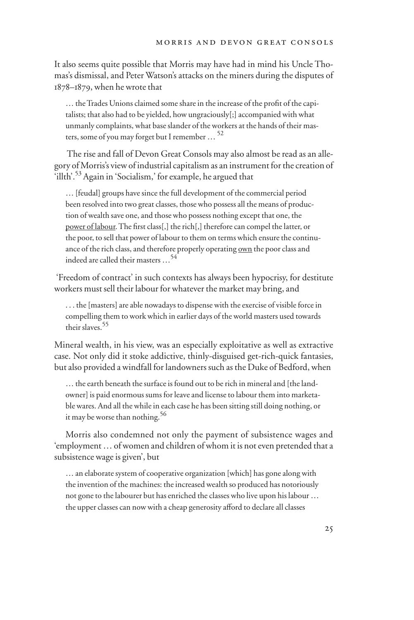It also seems quite possible that Morris may have had in mind his Uncle Thomas's dismissal, and Peter Watson's attacks on the miners during the disputes of 1878–1879, when he wrote that

... the Trades Unions claimed some share in the increase of the profit of the capitalists; that also had to be yielded, how ungraciously[;] accompanied with what unmanly complaints, what base slander of the workers at the hands of their masters, some of you may forget but I remember … 52

 The rise and fall of Devon Great Consols may also almost be read as an allegory of Morris's view of industrial capitalism as an instrument for the creation of 'illth'.<sup>53</sup> Again in 'Socialism,' for example, he argued that

… [feudal] groups have since the full development of the commercial period been resolved into two great classes, those who possess all the means of production of wealth save one, and those who possess nothing except that one, the power of labour. The first class[,] the rich[,] therefore can compel the latter, or the poor, to sell that power of labour to them on terms which ensure the continuance of the rich class, and therefore properly operating own the poor class and indeed are called their masters …<sup>54</sup>

 'Freedom of contract' in such contexts has always been hypocrisy, for destitute workers must sell their labour for whatever the market may bring, and

. . . the [masters] are able nowadays to dispense with the exercise of visible force in compelling them to work which in earlier days of the world masters used towards their slaves.<sup>55</sup>

Mineral wealth, in his view, was an especially exploitative as well as extractive case. Not only did it stoke addictive, thinly-disguised get-rich-quick fantasies, but also provided a windfall for landowners such as the Duke of Bedford, when

… the earth beneath the surface is found out to be rich in mineral and [the landowner] is paid enormous sums for leave and license to labour them into marketable wares. And all the while in each case he has been sitting still doing nothing, or it may be worse than nothing.  $56$ 

Morris also condemned not only the payment of subsistence wages and 'employment … of women and children of whom it is not even pretended that a subsistence wage is given', but

… an elaborate system of cooperative organization [which] has gone along with the invention of the machines: the increased wealth so produced has notoriously not gone to the labourer but has enriched the classes who live upon his labour … the upper classes can now with a cheap generosity afford to declare all classes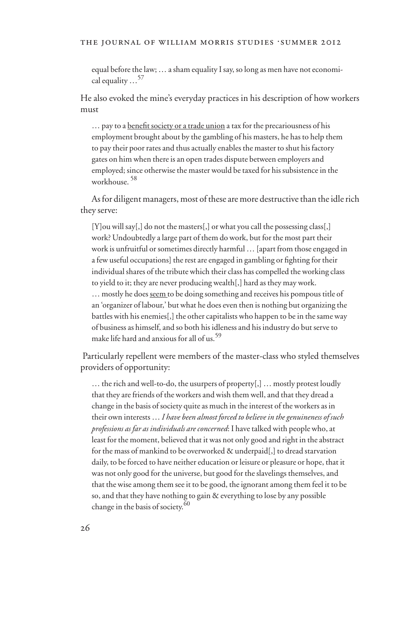equal before the law; … a sham equality I say, so long as men have not economical equality  $\ldots$ <sup>57</sup>

He also evoked the mine's everyday practices in his description of how workers must

... pay to a benefit society or a trade union a tax for the precariousness of his employment brought about by the gambling of his masters, he has to help them to pay their poor rates and thus actually enables the master to shut his factory gates on him when there is an open trades dispute between employers and employed; since otherwise the master would be taxed for his subsistence in the workhouse. 58

As for diligent managers, most of these are more destructive than the idle rich they serve:

[Y]ou will say[,] do not the masters[,] or what you call the possessing class[,] work? Undoubtedly a large part of them do work, but for the most part their work is unfruitful or sometimes directly harmful … [apart from those engaged in a few useful occupations] the rest are engaged in gambling or fighting for their individual shares of the tribute which their class has compelled the working class to yield to it; they are never producing wealth[,] hard as they may work. ... mostly he does seem to be doing something and receives his pompous title of an 'organizer of labour,' but what he does even then is nothing but organizing the battles with his enemies[,] the other capitalists who happen to be in the same way of business as himself, and so both his idleness and his industry do but serve to make life hard and anxious for all of us.<sup>59</sup>

 Particularly repellent were members of the master-class who styled themselves providers of opportunity:

… the rich and well-to-do, the usurpers of property[,] … mostly protest loudly that they are friends of the workers and wish them well, and that they dread a change in the basis of society quite as much in the interest of the workers as in their own interests … *I have been almost forced to believe in the genuineness of such professions as far as individuals are concerned*: I have talked with people who, at least for the moment, believed that it was not only good and right in the abstract for the mass of mankind to be overworked & underpaid[,] to dread starvation daily, to be forced to have neither education or leisure or pleasure or hope, that it was not only good for the universe, but good for the slavelings themselves, and that the wise among them see it to be good, the ignorant among them feel it to be so, and that they have nothing to gain & everything to lose by any possible change in the basis of society.<sup>60</sup>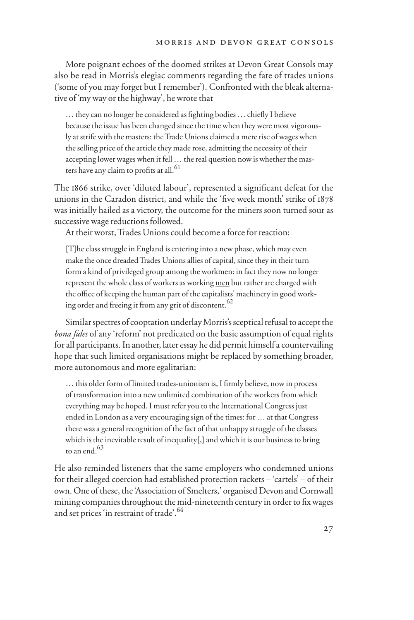More poignant echoes of the doomed strikes at Devon Great Consols may also be read in Morris's elegiac comments regarding the fate of trades unions ('some of you may forget but I remember'). Confronted with the bleak alternative of 'my way or the highway', he wrote that

... they can no longer be considered as fighting bodies ... chiefly I believe because the issue has been changed since the time when they were most vigorously at strife with the masters: the Trade Unions claimed a mere rise of wages when the selling price of the article they made rose, admitting the necessity of their accepting lower wages when it fell … the real question now is whether the masters have any claim to profits at all.<sup>61</sup>

The 1866 strike, over 'diluted labour', represented a significant defeat for the unions in the Caradon district, and while the 'five week month' strike of 1878 was initially hailed as a victory, the outcome for the miners soon turned sour as successive wage reductions followed.

At their worst, Trades Unions could become a force for reaction:

[T]he class struggle in England is entering into a new phase, which may even make the once dreaded Trades Unions allies of capital, since they in their turn form a kind of privileged group among the workmen: in fact they now no longer represent the whole class of workers as working men but rather are charged with the office of keeping the human part of the capitalists' machinery in good working order and freeing it from any grit of discontent.<sup>62</sup>

Similar spectres of cooptation underlay Morris's sceptical refusal to accept the *bona fides* of any 'reform' not predicated on the basic assumption of equal rights for all participants. In another, later essay he did permit himself a countervailing hope that such limited organisations might be replaced by something broader, more autonomous and more egalitarian:

... this older form of limited trades-unionism is, I firmly believe, now in process of transformation into a new unlimited combination of the workers from which everything may be hoped. I must refer you to the International Congress just ended in London as a very encouraging sign of the times: for … at that Congress there was a general recognition of the fact of that unhappy struggle of the classes which is the inevitable result of inequality[,] and which it is our business to bring to an end  $63$ 

He also reminded listeners that the same employers who condemned unions for their alleged coercion had established protection rackets – 'cartels' – of their own. One of these, the 'Association of Smelters,' organised Devon and Cornwall mining companies throughout the mid-nineteenth century in order to fix wages and set prices 'in restraint of trade'.<sup>64</sup>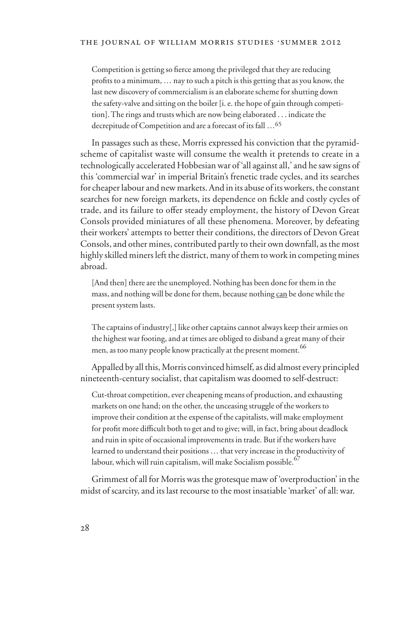Competition is getting so fierce among the privileged that they are reducing profits to a minimum, ... nay to such a pitch is this getting that as you know, the last new discovery of commercialism is an elaborate scheme for shutting down the safety-valve and sitting on the boiler [i. e. the hope of gain through competition]. The rings and trusts which are now being elaborated . . . indicate the decrepitude of Competition and are a forecast of its fall …65

In passages such as these, Morris expressed his conviction that the pyramidscheme of capitalist waste will consume the wealth it pretends to create in a technologically accelerated Hobbesian war of 'all against all,' and he saw signs of this 'commercial war' in imperial Britain's frenetic trade cycles, and its searches for cheaper labour and new markets. And in its abuse of its workers, the constant searches for new foreign markets, its dependence on fickle and costly cycles of trade, and its failure to offer steady employment, the history of Devon Great Consols provided miniatures of all these phenomena. Moreover, by defeating their workers' attempts to better their conditions, the directors of Devon Great Consols, and other mines, contributed partly to their own downfall, as the most highly skilled miners left the district, many of them to work in competing mines abroad.

[And then] there are the unemployed. Nothing has been done for them in the mass, and nothing will be done for them, because nothing can be done while the present system lasts.

The captains of industry[,] like other captains cannot always keep their armies on the highest war footing, and at times are obliged to disband a great many of their men, as too many people know practically at the present moment.<sup>66</sup>

Appalled by all this, Morris convinced himself, as did almost every principled nineteenth-century socialist, that capitalism was doomed to self-destruct:

Cut-throat competition, ever cheapening means of production, and exhausting markets on one hand; on the other, the unceasing struggle of the workers to improve their condition at the expense of the capitalists, will make employment for profit more difficult both to get and to give; will, in fact, bring about deadlock and ruin in spite of occasional improvements in trade. But if the workers have learned to understand their positions … that very increase in the productivity of labour, which will ruin capitalism, will make Socialism possible. $67$ 

Grimmest of all for Morris was the grotesque maw of 'overproduction' in the midst of scarcity, and its last recourse to the most insatiable 'market' of all: war.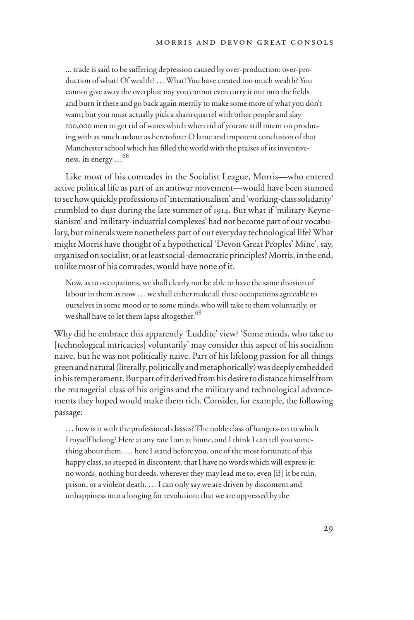... trade is said to be suffering depression caused by over-production: over-production of what? Of wealth? … What! You have created too much wealth? You cannot give away the overplus; nay you cannot even carry it out into the fields and burn it there and go back again merrily to make some more of what you don't want; but you must actually pick a sham quarrel with other people and slay 100,000 men to get rid of wares which when rid of you are still intent on producing with as much ardour as heretofore: O lame and impotent conclusion of that Manchester school which has filled the world with the praises of its inventiveness, its energy …68

Like most of his comrades in the Socialist League, Morris—who entered active political life as part of an antiwar movement—would have been stunned to see how quickly professions of 'internationalism' and 'working-class solidarity' crumbled to dust during the late summer of 1914. But what if 'military Keynesianism' and 'military-industrial complexes' had not become part of our vocabulary, but minerals were nonetheless part of our everyday technological life? What might Morris have thought of a hypothetical 'Devon Great Peoples' Mine', say, organised on socialist, or at least social-democratic principles? Morris, in the end, unlike most of his comrades, would have none of it.

Now, as to occupations, we shall clearly not be able to have the same division of labour in them as now … we shall either make all these occupations agreeable to ourselves in some mood or to some minds, who will take to them voluntarily, or we shall have to let them lapse altogether.<sup>69</sup>

Why did he embrace this apparently 'Luddite' view? 'Some minds, who take to [technological intricacies] voluntarily' may consider this aspect of his socialism naive, but he was not politically naive. Part of his lifelong passion for all things green and natural (literally, politically and metaphorically) was deeply embedded in his temperament. But part of it derived from his desire to distance himself from the managerial class of his origins and the military and technological advancements they hoped would make them rich. Consider, for example, the following passage:

… how is it with the professional classes? The noble class of hangers-on to which I myself belong? Here at any rate I am at home, and I think I can tell you something about them. … here I stand before you, one of the most fortunate of this happy class, so steeped in discontent, that I have no words which will express it: no words, nothing but deeds, wherever they may lead me to, even [if] it be ruin, prison, or a violent death. … I can only say we are driven by discontent and unhappiness into a longing for revolution: that we are oppressed by the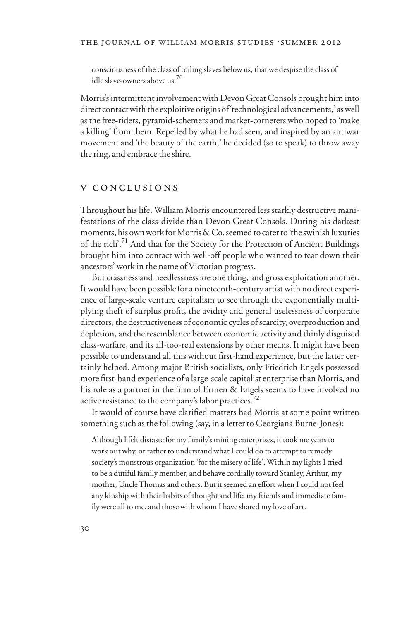consciousness of the class of toiling slaves below us, that we despise the class of idle slave-owners above us.<sup>70</sup>

Morris's intermittent involvement with Devon Great Consols brought him into direct contact with the exploitive origins of 'technological advancements,' as well as the free-riders, pyramid-schemers and market-cornerers who hoped to 'make a killing' from them. Repelled by what he had seen, and inspired by an antiwar movement and 'the beauty of the earth,' he decided (so to speak) to throw away the ring, and embrace the shire.

#### v conclusions

Throughout his life, William Morris encountered less starkly destructive manifestations of the class-divide than Devon Great Consols. During his darkest moments, his own work for Morris & Co. seemed to cater to 'the swinish luxuries of the rich'.71 And that for the Society for the Protection of Ancient Buildings brought him into contact with well-off people who wanted to tear down their ancestors' work in the name of Victorian progress.

But crassness and heedlessness are one thing, and gross exploitation another. It would have been possible for a nineteenth-century artist with no direct experience of large-scale venture capitalism to see through the exponentially multiplying theft of surplus profit, the avidity and general uselessness of corporate directors, the destructiveness of economic cycles of scarcity, overproduction and depletion, and the resemblance between economic activity and thinly disguised class-warfare, and its all-too-real extensions by other means. It might have been possible to understand all this without first-hand experience, but the latter certainly helped. Among major British socialists, only Friedrich Engels possessed more first-hand experience of a large-scale capitalist enterprise than Morris, and his role as a partner in the firm of Ermen & Engels seems to have involved no active resistance to the company's labor practices.<sup>72</sup>

It would of course have clarified matters had Morris at some point written something such as the following (say, in a letter to Georgiana Burne-Jones):

Although I felt distaste for my family's mining enterprises, it took me years to work out why, or rather to understand what I could do to attempt to remedy society's monstrous organization 'for the misery of life'. Within my lights I tried to be a dutiful family member, and behave cordially toward Stanley, Arthur, my mother, Uncle Thomas and others. But it seemed an effort when I could not feel any kinship with their habits of thought and life; my friends and immediate family were all to me, and those with whom I have shared my love of art.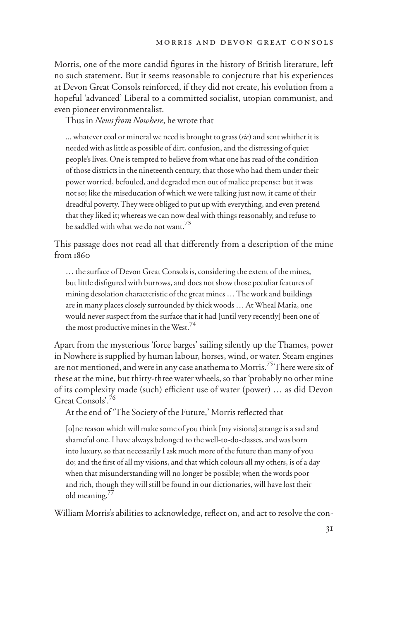Morris, one of the more candid figures in the history of British literature, left no such statement. But it seems reasonable to conjecture that his experiences at Devon Great Consols reinforced, if they did not create, his evolution from a hopeful 'advanced' Liberal to a committed socialist, utopian communist, and even pioneer environmentalist.

Thus in *News from Nowhere*, he wrote that

... whatever coal or mineral we need is brought to grass (*sic*) and sent whither it is needed with as little as possible of dirt, confusion, and the distressing of quiet people's lives. One is tempted to believe from what one has read of the condition of those districts in the nineteenth century, that those who had them under their power worried, befouled, and degraded men out of malice prepense: but it was not so; like the miseducation of which we were talking just now, it came of their dreadful poverty. They were obliged to put up with everything, and even pretend that they liked it; whereas we can now deal with things reasonably, and refuse to be saddled with what we do not want.<sup>73</sup>

This passage does not read all that differently from a description of the mine from 1860

… the surface of Devon Great Consols is, considering the extent of the mines, but little disfigured with burrows, and does not show those peculiar features of mining desolation characteristic of the great mines … The work and buildings are in many places closely surrounded by thick woods … At Wheal Maria, one would never suspect from the surface that it had [until very recently] been one of the most productive mines in the West.<sup>74</sup>

Apart from the mysterious 'force barges' sailing silently up the Thames, power in Nowhere is supplied by human labour, horses, wind, or water. Steam engines are not mentioned, and were in any case anathema to Morris.<sup>75</sup> There were six of these at the mine, but thirty-three water wheels, so that 'probably no other mine of its complexity made (such) efficient use of water (power) ... as did Devon Great Consols'.<sup>76</sup>

At the end of 'The Society of the Future,' Morris reflected that

[o]ne reason which will make some of you think [my visions] strange is a sad and shameful one. I have always belonged to the well-to-do-classes, and was born into luxury, so that necessarily I ask much more of the future than many of you do; and the first of all my visions, and that which colours all my others, is of a day when that misunderstanding will no longer be possible; when the words poor and rich, though they will still be found in our dictionaries, will have lost their old meaning.77

William Morris's abilities to acknowledge, reflect on, and act to resolve the con-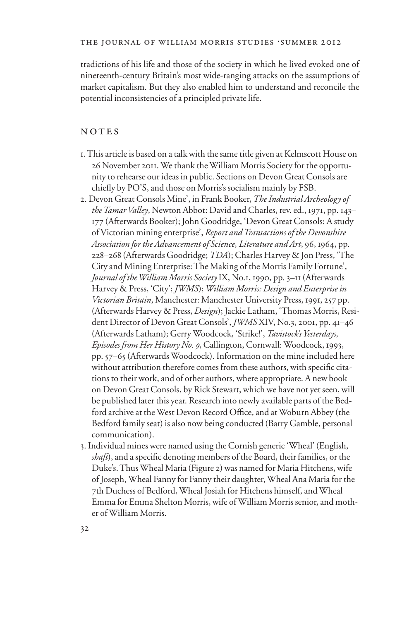tradictions of his life and those of the society in which he lived evoked one of nineteenth-century Britain's most wide-ranging attacks on the assumptions of market capitalism. But they also enabled him to understand and reconcile the potential inconsistencies of a principled private life.

#### NOTES

- 1. This article is based on a talk with the same title given at Kelmscott House on 26 November 2011. We thank the William Morris Society for the opportunity to rehearse our ideas in public. Sections on Devon Great Consols are chiefly by PO'S, and those on Morris's socialism mainly by FSB.
- 2. Devon Great Consols Mine', in Frank Booker, *The Industrial Archeology of the Tamar Valley*, Newton Abbot: David and Charles, rev. ed., 1971, pp. 143– 177 (Afterwards Booker); John Goodridge, 'Devon Great Consols: A study of Victorian mining enterprise', *Report and Transactions of the Devonshire Association for the Advancement of Science, Literature and Art*, 96, 1964, pp. 228–268 (Afterwards Goodridge; *TDA*); Charles Harvey & Jon Press, 'The City and Mining Enterprise: The Making of the Morris Family Fortune', *Journal of the William Morris Society* IX, No.1, 1990, pp. 3–11 (Afterwards Harvey & Press, 'City'; *JWMS*); *William Morris: Design and Enterprise in Victorian Britain*, Manchester: Manchester University Press, 1991, 257 pp. (Afterwards Harvey & Press, *Design*); Jackie Latham, 'Thomas Morris, Resident Director of Devon Great Consols', *JWMS* XIV, No.3, 2001, pp. 41–46 (Afterwards Latham); Gerry Woodcock, 'Strike!', *Tavistock's Yesterdays, Episodes from Her History No. 9*, Callington, Cornwall: Woodcock, 1993, pp. 57–65 (Afterwards Woodcock). Information on the mine included here without attribution therefore comes from these authors, with specific citations to their work, and of other authors, where appropriate. A new book on Devon Great Consols, by Rick Stewart, which we have not yet seen, will be published later this year. Research into newly available parts of the Bedford archive at the West Devon Record Office, and at Woburn Abbey (the Bedford family seat) is also now being conducted (Barry Gamble, personal communication).
- 3. Individual mines were named using the Cornish generic 'Wheal' (English, *shaft*), and a specific denoting members of the Board, their families, or the Duke's. Thus Wheal Maria (Figure 2) was named for Maria Hitchens, wife of Joseph, Wheal Fanny for Fanny their daughter, Wheal Ana Maria for the 7th Duchess of Bedford, Wheal Josiah for Hitchens himself, and Wheal Emma for Emma Shelton Morris, wife of William Morris senior, and mother of William Morris.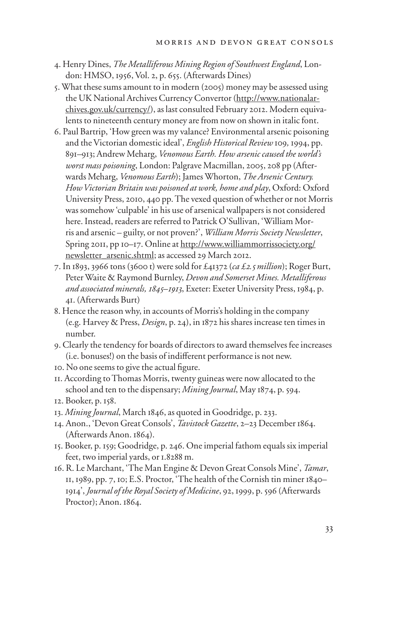- 4. Henry Dines, *The Metalliferous Mining Region of Southwest England*, London: HMSO, 1956, Vol. 2, p. 655. (Afterwards Dines)
- 5. What these sums amount to in modern (2005) money may be assessed using the UK National Archives Currency Convertor (http://www.nationalarchives.gov.uk/currency/), as last consulted February 2012. Modern equivalents to nineteenth century money are from now on shown in italic font.
- 6. Paul Bartrip, 'How green was my valance? Environmental arsenic poisoning and the Victorian domestic ideal', *English Historical Review* 109*,* 1994, pp. 891*–*913; Andrew Meharg, *Venomous Earth. How arsenic caused the world's worst mass poisoning*, London: Palgrave Macmillan, 2005, 208 pp (Afterwards Meharg, *Venomous Earth*); James Whorton, *The Arsenic Century. How Victorian Britain was poisoned at work, home and play*, Oxford: Oxford University Press, 2010, 440 pp. The vexed question of whether or not Morris was somehow 'culpable' in his use of arsenical wallpapers is not considered here. Instead, readers are referred to Patrick O'Sullivan, 'William Morris and arsenic – guilty, or not proven?', *William Morris Society Newsletter*, Spring 2011, pp 10–17. Online at http://www.williammorrissociety.org/ newsletter\_arsenic.shtml; as accessed 29 March 2012.
- 7. In 1893, 3966 tons (3600 t) were sold for £41372 (*ca £2.5 million*); Roger Burt, Peter Waite & Raymond Burnley, *Devon and Somerset Mines. Metalliferous and associated minerals, 1845–1913*, Exeter: Exeter University Press, 1984, p. 41. (Afterwards Burt)
- 8. Hence the reason why, in accounts of Morris's holding in the company (e.g. Harvey & Press, *Design*, p. 24), in 1872 his shares increase ten times in number.
- 9. Clearly the tendency for boards of directors to award themselves fee increases (i.e. bonuses!) on the basis of indifferent performance is not new.
- 10. No one seems to give the actual figure.
- 11. According to Thomas Morris, twenty guineas were now allocated to the school and ten to the dispensary; *Mining Journal*, May 1874, p. 594.
- 12. Booker, p. 158.
- 13. *Mining Journal*, March 1846, as quoted in Goodridge, p. 233.
- 14. Anon., 'Devon Great Consols', *Tavistock Gazette*, 2–23 December 1864. (Afterwards Anon. 1864).
- 15. Booker, p. 159; Goodridge, p. 246. One imperial fathom equals six imperial feet, two imperial yards, or 1.8288 m.
- 16. R. Le Marchant, 'The Man Engine & Devon Great Consols Mine', *Tamar*, 11, 1989, pp. 7, 10; E.S. Proctor, 'The health of the Cornish tin miner 1840– 1914', *Journal of the Royal Society of Medicine*, 92, 1999, p. 596 (Afterwards Proctor); Anon. 1864.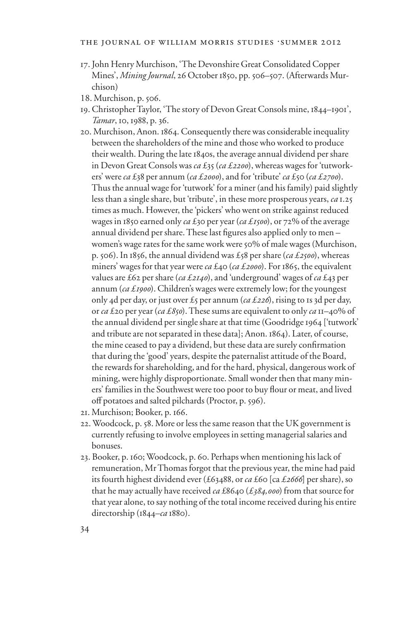- 17. John Henry Murchison, 'The Devonshire Great Consolidated Copper Mines', *Mining Journal*, 26 October 1850, pp. 506–507. (Afterwards Murchison)
- 18. Murchison, p. 506.
- 19. Christopher Taylor, 'The story of Devon Great Consols mine, 1844–1901', *Tamar*, 10, 1988, p. 36.
- 20. Murchison, Anon. 1864. Consequently there was considerable inequality between the shareholders of the mine and those who worked to produce their wealth. During the late 1840s, the average annual dividend per share in Devon Great Consols was *ca* £35 (*ca £2200*), whereas wages for 'tutworkers' were *ca* £38 per annum (*ca £2000*), and for 'tribute' *ca* £50 (*ca £2700*). Thus the annual wage for 'tutwork' for a miner (and his family) paid slightly less than a single share, but 'tribute', in these more prosperous years, *ca* 1.25 times as much. However, the 'pickers' who went on strike against reduced wages in 1850 earned only *ca* £30 per year (*ca £1500*), or 72% of the average annual dividend per share. These last figures also applied only to men – women's wage rates for the same work were 50% of male wages (Murchison, p. 506). In 1856, the annual dividend was £58 per share (*ca £2500*), whereas miners' wages for that year were *ca* £40 (*ca £2000*). For 1865, the equivalent values are £62 per share (*ca £2140*), and 'underground' wages of *ca* £43 per annum (*ca £1900*). Children's wages were extremely low; for the youngest only 4d per day, or just over £5 per annum (*ca £226*), rising to 1s 3d per day, or *ca* £20 per year (*ca £850*). These sums are equivalent to only *ca* 11–40% of the annual dividend per single share at that time (Goodridge 1964 ['tutwork' and tribute are not separated in these data]; Anon. 1864). Later, of course, the mine ceased to pay a dividend, but these data are surely confirmation that during the 'good' years, despite the paternalist attitude of the Board, the rewards for shareholding, and for the hard, physical, dangerous work of mining, were highly disproportionate. Small wonder then that many miners' families in the Southwest were too poor to buy flour or meat, and lived off potatoes and salted pilchards (Proctor, p. 596).
- 21. Murchison; Booker, p. 166.
- 22. Woodcock, p. 58. More or less the same reason that the UK government is currently refusing to involve employees in setting managerial salaries and bonuses.
- 23. Booker, p. 160; Woodcock, p. 60. Perhaps when mentioning his lack of remuneration, Mr Thomas forgot that the previous year, the mine had paid its fourth highest dividend ever (£63488, or *ca* £60 [ca *£2666*] per share), so that he may actually have received *ca* £8640 (*£384,000*) from that source for that year alone, to say nothing of the total income received during his entire directorship (1844–*ca* 1880).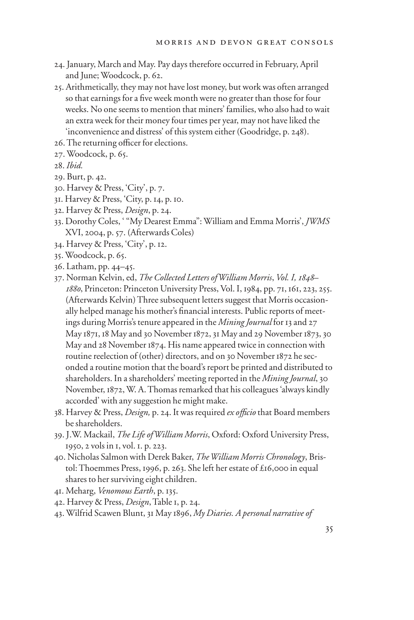- 24. January, March and May. Pay days therefore occurred in February, April and June; Woodcock, p. 62.
- 25. Arithmetically, they may not have lost money, but work was often arranged so that earnings for a five week month were no greater than those for four weeks. No one seems to mention that miners' families, who also had to wait an extra week for their money four times per year, may not have liked the 'inconvenience and distress' of this system either (Goodridge, p. 248).
- 26. The returning officer for elections.
- 27. Woodcock, p. 65.
- 28. *Ibid.*
- 29. Burt, p. 42.
- 30. Harvey & Press, 'City', p. 7.
- 31. Harvey & Press, 'City, p. 14, p. 10.
- 32. Harvey & Press, *Design*, p. 24.
- 33. Dorothy Coles, ' "My Dearest Emma": William and Emma Morris', *JWMS*  XVI, 2004, p. 57. (Afterwards Coles)
- 34. Harvey & Press, 'City', p. 12.
- 35. Woodcock, p. 65.
- 36. Latham, pp. 44–45.
- 37. Norman Kelvin, ed, *The Collected Letters of William Morris*, *Vol. I, 1848– 1880*, Princeton: Princeton University Press, Vol. I, 1984, pp. 71, 161, 223, 255. (Afterwards Kelvin) Three subsequent letters suggest that Morris occasionally helped manage his mother's financial interests. Public reports of meetings during Morris's tenure appeared in the *Mining Journal* for 13 and 27 May 1871, 18 May and 30 November 1872, 31 May and 29 November 1873, 30 May and 28 November 1874. His name appeared twice in connection with routine reelection of (other) directors, and on 30 November 1872 he seconded a routine motion that the board's report be printed and distributed to shareholders. In a shareholders' meeting reported in the *Mining Journal*, 30 November, 1872, W. A. Thomas remarked that his colleagues 'always kindly accorded' with any suggestion he might make.
- 38. Harvey & Press, *Design,* p. 24. It was required *ex oYcio* that Board members be shareholders.
- 39. J.W. Mackail, *The Life of William Morris*, Oxford: Oxford University Press, 1950, 2 vols in 1, vol. 1. p. 223.
- 40. Nicholas Salmon with Derek Baker, *The William Morris Chronology*, Bristol: Thoemmes Press, 1996, p. 263. She left her estate of £16,000 in equal shares to her surviving eight children.
- 41. Meharg, *Venomous Earth*, p. 135.
- 42. Harvey & Press, *Design*, Table 1, p. 24.
- 43. Wilfrid Scawen Blunt, 31 May 1896, *My Diaries. A personal narrative of*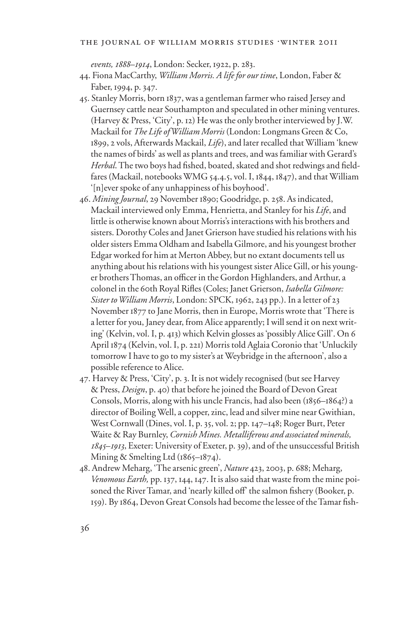*events,1888–1914*, London: Secker, 1922, p. 283.

- 44. Fiona MacCarthy, *William Morris. A life for our time*, London, Faber & Faber, 1994, p. 347.
- 45. Stanley Morris, born 1837, was a gentleman farmer who raised Jersey and Guernsey cattle near Southampton and speculated in other mining ventures. (Harvey & Press, 'City', p. 12) He was the only brother interviewed by J.W. Mackail for *The Life of William Morris* (London: Longmans Green & Co, 1899, 2 vols, Afterwards Mackail, *Life*), and later recalled that William 'knew the names of birds' as well as plants and trees, and was familiar with Gerard's Herbal. The two boys had fished, boated, skated and shot redwings and fieldfares (Mackail, notebooks WMG 54.4.5, vol. I, 1844, 1847), and that William '[n]ever spoke of any unhappiness of his boyhood'.
- 46. *Mining Journal*, 29 November 1890; Goodridge, p. 258. As indicated, Mackail interviewed only Emma, Henrietta, and Stanley for his *Life*, and little is otherwise known about Morris's interactions with his brothers and sisters. Dorothy Coles and Janet Grierson have studied his relations with his older sisters Emma Oldham and Isabella Gilmore, and his youngest brother Edgar worked for him at Merton Abbey, but no extant documents tell us anything about his relations with his youngest sister Alice Gill, or his younger brothers Thomas, an officer in the Gordon Highlanders, and Arthur, a colonel in the 60th Royal Rifles (Coles; Janet Grierson, *Isabella Gilmore: Sister to William Morris*, London: SPCK, 1962, 243 pp.). In a letter of 23 November 1877 to Jane Morris, then in Europe, Morris wrote that 'There is a letter for you, Janey dear, from Alice apparently; I will send it on next writing' (Kelvin, vol. I, p. 413) which Kelvin glosses as 'possibly Alice Gill'. On 6 April 1874 (Kelvin, vol. I, p. 221) Morris told Aglaia Coronio that 'Unluckily tomorrow I have to go to my sister's at Weybridge in the afternoon', also a possible reference to Alice.
- 47. Harvey & Press, 'City', p. 3. It is not widely recognised (but see Harvey & Press, *Design*, p. 40) that before he joined the Board of Devon Great Consols, Morris, along with his uncle Francis, had also been (1856–1864?) a director of Boiling Well, a copper, zinc, lead and silver mine near Gwithian, West Cornwall (Dines, vol. I, p. 35, vol. 2; pp. 147–148; Roger Burt, Peter Waite & Ray Burnley, *Cornish Mines. Metalliferous and associated minerals, 1845–1913*, Exeter: University of Exeter, p. 39), and of the unsuccessful British Mining & Smelting Ltd (1865–1874).
- 48. Andrew Meharg, 'The arsenic green', *Nature* 423, 2003, p. 688; Meharg, *Venomous Earth,* pp. 137, 144, 147. It is also said that waste from the mine poisoned the River Tamar, and 'nearly killed off' the salmon fishery (Booker, p. 159). By 1864, Devon Great Consols had become the lessee of the Tamar fish-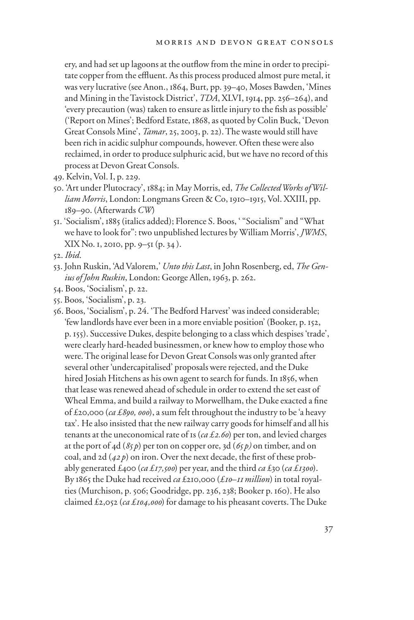ery, and had set up lagoons at the outflow from the mine in order to precipitate copper from the effluent. As this process produced almost pure metal, it was very lucrative (see Anon., 1864, Burt, pp. 39–40, Moses Bawden, 'Mines and Mining in the Tavistock District', *TDA*, XLVI, 1914, pp. 256–264), and 'every precaution (was) taken to ensure as little injury to the fish as possible' ('Report on Mines'; Bedford Estate, 1868, as quoted by Colin Buck, 'Devon Great Consols Mine', *Tamar*, 25, 2003, p. 22). The waste would still have been rich in acidic sulphur compounds, however. Often these were also reclaimed, in order to produce sulphuric acid, but we have no record of this process at Devon Great Consols.

- 49. Kelvin, Vol. I, p. 229.
- 50. 'Art under Plutocracy', 1884; in May Morris, ed, *The Collected Works of William Morris*, London: Longmans Green & Co, 1910–1915, Vol. XXIII, pp. 189–90. (Afterwards *CW*)
- 51. 'Socialism', 1885 (italics added); Florence S. Boos, ' "Socialism" and "What we have to look for": two unpublished lectures by William Morris', *JWMS*, XIX No. 1, 2010, pp. 9–51 (p. 34 ).
- 52. *Ibid*.
- 53. John Ruskin, 'Ad Valorem,' *Unto this Last*, in John Rosenberg, ed, *The Genius of John Ruskin*, London: George Allen, 1963, p. 262.
- 54. Boos, 'Socialism', p. 22.
- 55. Boos, 'Socialism', p. 23.
- 56. Boos, 'Socialism', p. 24. 'The Bedford Harvest' was indeed considerable; 'few landlords have ever been in a more enviable position' (Booker, p. 152, p. 155). Successive Dukes, despite belonging to a class which despises 'trade', were clearly hard-headed businessmen, or knew how to employ those who were. The original lease for Devon Great Consols was only granted after several other 'undercapitalised' proposals were rejected, and the Duke hired Josiah Hitchens as his own agent to search for funds. In 1856, when that lease was renewed ahead of schedule in order to extend the set east of Wheal Emma, and build a railway to Morwellham, the Duke exacted a fine of £20,000 (*ca £890, 000*), a sum felt throughout the industry to be 'a heavy tax'. He also insisted that the new railway carry goods for himself and all his tenants at the uneconomical rate of 1s (*ca £2.60*) per ton, and levied charges at the port of 4d  $(85 p)$  per ton on copper ore, 3d  $(65 p)$  on timber, and on coal, and 2d  $(42 p)$  on iron. Over the next decade, the first of these probably generated £400 (*ca £17,500*) per year, and the third *ca* £30 (*ca £1300*). By 1865 the Duke had received *ca* £210,000 (*£10–11 million*) in total royalties (Murchison, p. 506; Goodridge, pp. 236, 238; Booker p. 160). He also claimed £2,052 (*ca £104,000*) for damage to his pheasant coverts. The Duke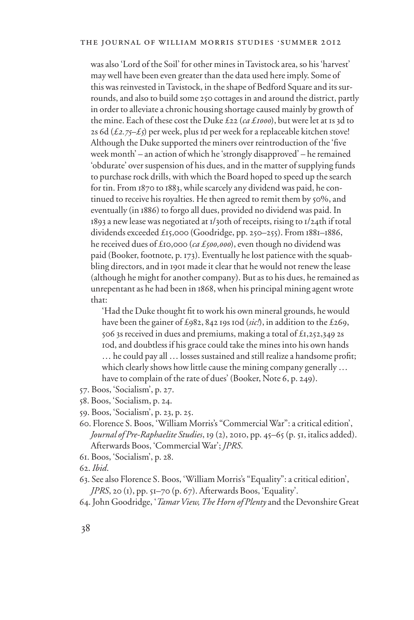was also 'Lord of the Soil' for other mines in Tavistock area, so his 'harvest' may well have been even greater than the data used here imply. Some of this was reinvested in Tavistock, in the shape of Bedford Square and its surrounds, and also to build some 250 cottages in and around the district, partly in order to alleviate a chronic housing shortage caused mainly by growth of the mine. Each of these cost the Duke £22 (*ca £1000*), but were let at 1s 3d to 2s 6d (*£2.75–£5*) per week, plus 1d per week for a replaceable kitchen stove! Although the Duke supported the miners over reintroduction of the 'five week month' – an action of which he 'strongly disapproved' – he remained 'obdurate' over suspension of his dues, and in the matter of supplying funds to purchase rock drills, with which the Board hoped to speed up the search for tin. From 1870 to 1883, while scarcely any dividend was paid, he continued to receive his royalties. He then agreed to remit them by 50%, and eventually (in 1886) to forgo all dues, provided no dividend was paid. In 1893 a new lease was negotiated at 1/30th of receipts, rising to 1/24th if total dividends exceeded £15,000 (Goodridge, pp. 250–255). From 1881–1886, he received dues of £10,000 (*ca £500,000*), even though no dividend was paid (Booker, footnote, p. 173). Eventually he lost patience with the squabbling directors, and in 1901 made it clear that he would not renew the lease (although he might for another company). But as to his dues, he remained as unrepentant as he had been in 1868, when his principal mining agent wrote that:

'Had the Duke thought fit to work his own mineral grounds, he would have been the gainer of £982, 842 19s 10d (*sic!*), in addition to the £269, 506 3s received in dues and premiums, making a total of £1,252,349 2s 10d, and doubtless if his grace could take the mines into his own hands ... he could pay all ... losses sustained and still realize a handsome profit; which clearly shows how little cause the mining company generally … have to complain of the rate of dues' (Booker, Note 6, p. 249).

- 57. Boos, 'Socialism', p. 27.
- 58. Boos, 'Socialism, p. 24.
- 59. Boos, 'Socialism', p. 23, p. 25.
- 60. Florence S. Boos, 'William Morris's "Commercial War": a critical edition', *Journal of Pre-Raphaelite Studies*, 19 (2), 2010, pp. 45–65 (p. 51, italics added). Afterwards Boos, 'Commercial War'; *JPRS*.
- 61. Boos, 'Socialism', p. 28.
- 62. *Ibid*.
- 63. See also Florence S. Boos, 'William Morris's "Equality": a critical edition', *JPRS*, 20 (1), pp. 51–70 (p. 67). Afterwards Boos, 'Equality'.
- 64. John Goodridge, '*Tamar View, The Horn of Plenty* and the Devonshire Great